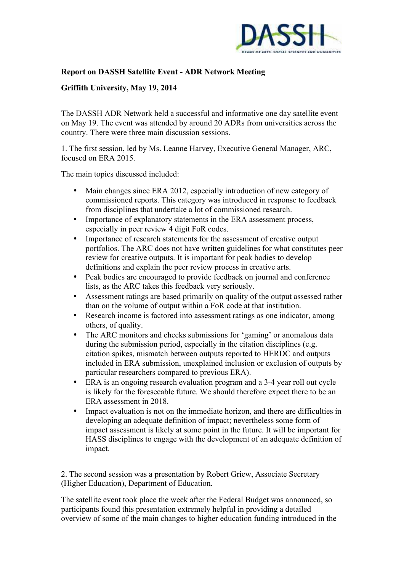

## **Report on DASSH Satellite Event - ADR Network Meeting**

## **Griffith University, May 19, 2014**

The DASSH ADR Network held a successful and informative one day satellite event on May 19. The event was attended by around 20 ADRs from universities across the country. There were three main discussion sessions.

1. The first session, led by Ms. Leanne Harvey, Executive General Manager, ARC, focused on ERA 2015.

The main topics discussed included:

- Main changes since ERA 2012, especially introduction of new category of commissioned reports. This category was introduced in response to feedback from disciplines that undertake a lot of commissioned research.
- Importance of explanatory statements in the ERA assessment process, especially in peer review 4 digit FoR codes.
- Importance of research statements for the assessment of creative output portfolios. The ARC does not have written guidelines for what constitutes peer review for creative outputs. It is important for peak bodies to develop definitions and explain the peer review process in creative arts.
- Peak bodies are encouraged to provide feedback on journal and conference lists, as the ARC takes this feedback very seriously.
- Assessment ratings are based primarily on quality of the output assessed rather than on the volume of output within a FoR code at that institution.
- Research income is factored into assessment ratings as one indicator, among others, of quality.
- The ARC monitors and checks submissions for 'gaming' or anomalous data during the submission period, especially in the citation disciplines (e.g. citation spikes, mismatch between outputs reported to HERDC and outputs included in ERA submission, unexplained inclusion or exclusion of outputs by particular researchers compared to previous ERA).
- ERA is an ongoing research evaluation program and a 3-4 year roll out cycle is likely for the foreseeable future. We should therefore expect there to be an ERA assessment in 2018.
- Impact evaluation is not on the immediate horizon, and there are difficulties in developing an adequate definition of impact; nevertheless some form of impact assessment is likely at some point in the future. It will be important for HASS disciplines to engage with the development of an adequate definition of impact.

2. The second session was a presentation by Robert Griew, Associate Secretary (Higher Education), Department of Education.

The satellite event took place the week after the Federal Budget was announced, so participants found this presentation extremely helpful in providing a detailed overview of some of the main changes to higher education funding introduced in the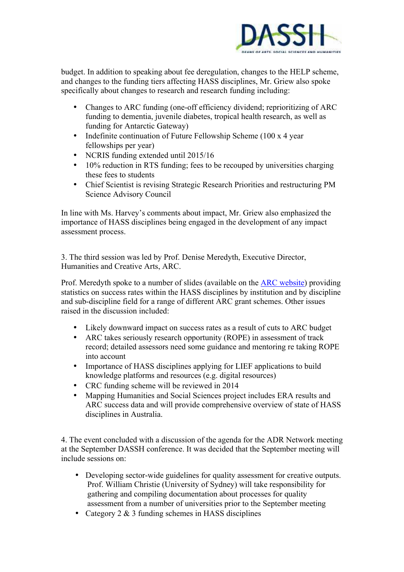

budget. In addition to speaking about fee deregulation, changes to the HELP scheme, and changes to the funding tiers affecting HASS disciplines, Mr. Griew also spoke specifically about changes to research and research funding including:

- Changes to ARC funding (one-off efficiency dividend; reprioritizing of ARC funding to dementia, juvenile diabetes, tropical health research, as well as funding for Antarctic Gateway)
- Indefinite continuation of Future Fellowship Scheme (100 x 4 year fellowships per year)
- NCRIS funding extended until 2015/16
- 10% reduction in RTS funding; fees to be recouped by universities charging these fees to students
- Chief Scientist is revising Strategic Research Priorities and restructuring PM Science Advisory Council

In line with Ms. Harvey's comments about impact, Mr. Griew also emphasized the importance of HASS disciplines being engaged in the development of any impact assessment process.

3. The third session was led by Prof. Denise Meredyth, Executive Director, Humanities and Creative Arts, ARC.

Prof. Meredyth spoke to a number of slides (available on the [ARC website\)](http://arc.gov.au/media/2014_Presentations/DASSH%20ADRs_web_ready.pdf) providing statistics on success rates within the HASS disciplines by institution and by discipline and sub-discipline field for a range of different ARC grant schemes. Other issues raised in the discussion included:

- Likely downward impact on success rates as a result of cuts to ARC budget
- ARC takes seriously research opportunity (ROPE) in assessment of track record; detailed assessors need some guidance and mentoring re taking ROPE into account
- Importance of HASS disciplines applying for LIEF applications to build knowledge platforms and resources (e.g. digital resources)
- CRC funding scheme will be reviewed in 2014
- Mapping Humanities and Social Sciences project includes ERA results and ARC success data and will provide comprehensive overview of state of HASS disciplines in Australia.

4. The event concluded with a discussion of the agenda for the ADR Network meeting at the September DASSH conference. It was decided that the September meeting will include sessions on:

- Developing sector-wide guidelines for quality assessment for creative outputs. Prof. William Christie (University of Sydney) will take responsibility for gathering and compiling documentation about processes for quality assessment from a number of universities prior to the September meeting
- Category 2 & 3 funding schemes in HASS disciplines